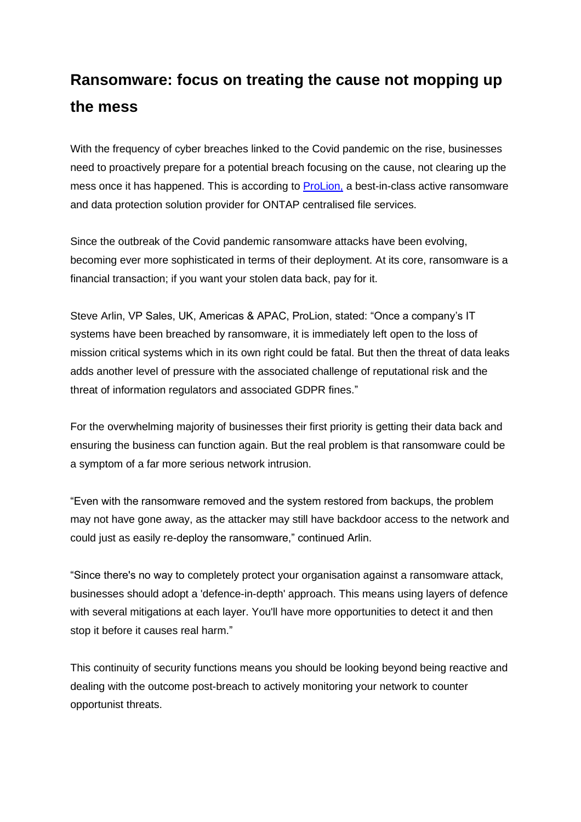## **Ransomware: focus on treating the cause not mopping up the mess**

With the frequency of cyber breaches linked to the Covid pandemic on the rise, businesses need to proactively prepare for a potential breach focusing on the cause, not clearing up the mess once it has happened. This is according to **ProLion**, a best-in-class active ransomware and data protection solution provider for ONTAP centralised file services.

Since the outbreak of the Covid pandemic ransomware attacks have been evolving, becoming ever more sophisticated in terms of their deployment. At its core, ransomware is a financial transaction; if you want your stolen data back, pay for it.

Steve Arlin, VP Sales, UK, Americas & APAC, ProLion, stated: "Once a company's IT systems have been breached by ransomware, it is immediately left open to the loss of mission critical systems which in its own right could be fatal. But then the threat of data leaks adds another level of pressure with the associated challenge of reputational risk and the threat of information regulators and associated GDPR fines."

For the overwhelming majority of businesses their first priority is getting their data back and ensuring the business can function again. But the real problem is that ransomware could be a symptom of a far more serious network intrusion.

"Even with the ransomware removed and the system restored from backups, the problem may not have gone away, as the attacker may still have backdoor access to the network and could just as easily re-deploy the ransomware," continued Arlin.

"Since there's no way to completely protect your organisation against a ransomware attack, businesses should adopt a 'defence-in-depth' approach. This means using layers of defence with several mitigations at each layer. You'll have more opportunities to detect it and then stop it before it causes real harm."

This continuity of security functions means you should be looking beyond being reactive and dealing with the outcome post-breach to actively monitoring your network to counter opportunist threats.